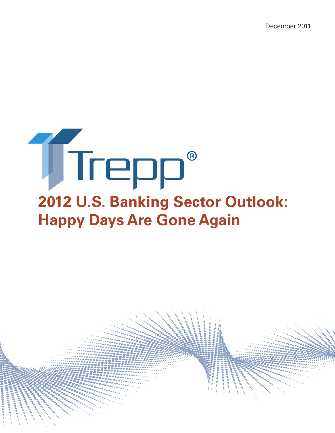December 2011

# **2012 U.S. Banking Sector Outlook: Happy Days Are Gone Again** ®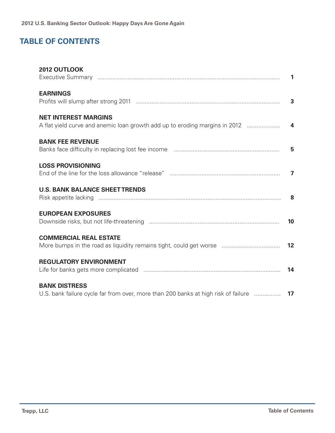# **Table of Contents**

| 2012 OUTLOOK                                                                                                   |    |
|----------------------------------------------------------------------------------------------------------------|----|
| <b>EARNINGS</b>                                                                                                |    |
| <b>NET INTEREST MARGINS</b>                                                                                    |    |
| <b>BANK FEE REVENUE</b>                                                                                        |    |
| <b>LOSS PROVISIONING</b>                                                                                       |    |
| <b>U.S. BANK BALANCE SHEET TRENDS</b>                                                                          |    |
| <b>EUROPEAN EXPOSURES</b>                                                                                      | 10 |
| <b>COMMERCIAL REAL ESTATE</b><br>More bumps in the road as liquidity remains tight, could get worse            | 12 |
| <b>REGULATORY ENVIRONMENT</b>                                                                                  |    |
| <b>BANK DISTRESS</b><br>U.S. bank failure cycle far from over, more than 200 banks at high risk of failure  17 |    |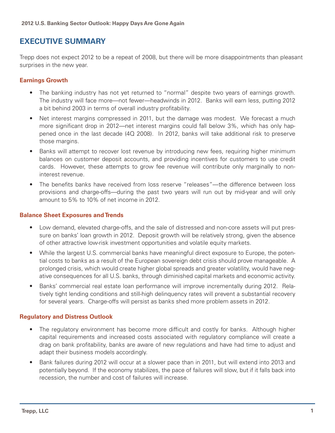# **Executive Summary**

Trepp does not expect 2012 to be a repeat of 2008, but there will be more disappointments than pleasant surprises in the new year.

## **Earnings Growth**

- The banking industry has not yet returned to "normal" despite two years of earnings growth. The industry will face more—not fewer—headwinds in 2012. Banks will earn less, putting 2012 a bit behind 2003 in terms of overall industry profitability.
- Net interest margins compressed in 2011, but the damage was modest. We forecast a much more significant drop in 2012—net interest margins could fall below 3%, which has only happened once in the last decade (4Q 2008). In 2012, banks will take additional risk to preserve those margins.
- Banks will attempt to recover lost revenue by introducing new fees, requiring higher minimum balances on customer deposit accounts, and providing incentives for customers to use credit cards. However, these attempts to grow fee revenue will contribute only marginally to noninterest revenue.
- The benefits banks have received from loss reserve "releases"—the difference between loss provisions and charge-offs—during the past two years will run out by mid-year and will only amount to 5% to 10% of net income in 2012.

## **Balance Sheet Exposures and Trends**

- Low demand, elevated charge-offs, and the sale of distressed and non-core assets will put pressure on banks' loan growth in 2012. Deposit growth will be relatively strong, given the absence of other attractive low-risk investment opportunities and volatile equity markets.
- While the largest U.S. commercial banks have meaningful direct exposure to Europe, the potential costs to banks as a result of the European sovereign debt crisis should prove manageable. A prolonged crisis, which would create higher global spreads and greater volatility, would have negative consequences for all U.S. banks, through diminished capital markets and economic activity.
- Banks' commercial real estate loan performance will improve incrementally during 2012. Relatively tight lending conditions and still-high delinquency rates will prevent a substantial recovery for several years. Charge-offs will persist as banks shed more problem assets in 2012.

## **Regulatory and Distress Outlook**

- The regulatory environment has become more difficult and costly for banks. Although higher capital requirements and increased costs associated with regulatory compliance will create a drag on bank profitability, banks are aware of new regulations and have had time to adjust and adapt their business models accordingly.
- Bank failures during 2012 will occur at a slower pace than in 2011, but will extend into 2013 and potentially beyond. If the economy stabilizes, the pace of failures will slow, but if it falls back into recession, the number and cost of failures will increase.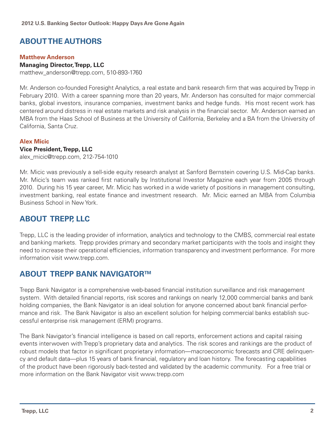# **Aboutthe Authors**

## **Matthew Anderson**

## **Managing Director, Trepp, LLC**

matthew\_anderson@trepp.com, 510-893-1760

Mr. Anderson co-founded Foresight Analytics, a real estate and bank research firm that was acquired by Trepp in February 2010. With a career spanning more than 20 years, Mr. Anderson has consulted for major commercial banks, global investors, insurance companies, investment banks and hedge funds. His most recent work has centered around distress in real estate markets and risk analysis in the financial sector. Mr. Anderson earned an MBA from the Haas School of Business at the University of California, Berkeley and a BA from the University of California, Santa Cruz.

## **Alex Micic**

#### **Vice President, Trepp, LLC**

alex\_micic@trepp.com, 212-754-1010

Mr. Micic was previously a sell-side equity research analyst at Sanford Bernstein covering U.S. Mid-Cap banks. Mr. Micic's team was ranked first nationally by Institutional Investor Magazine each year from 2005 through 2010. During his 15 year career, Mr. Micic has worked in a wide variety of positions in management consulting, investment banking, real estate finance and investment research. Mr. Micic earned an MBA from Columbia Business School in New York.

# **About Trepp, LLC**

Trepp, LLC is the leading provider of information, analytics and technology to the CMBS, commercial real estate and banking markets. Trepp provides primary and secondary market participants with the tools and insight they need to increase their operational efficiencies, information transparency and investment performance. For more information visit www.trepp.com.

# **ABOUT TREPP BANK NAVIGATOR™**

Trepp Bank Navigator is a comprehensive web-based financial institution surveillance and risk management system. With detailed financial reports, risk scores and rankings on nearly 12,000 commercial banks and bank holding companies, the Bank Navigator is an ideal solution for anyone concerned about bank financial performance and risk. The Bank Navigator is also an excellent solution for helping commercial banks establish successful enterprise risk management (ERM) programs.

The Bank Navigator's financial intelligence is based on call reports, enforcement actions and capital raising events interwoven with Trepp's proprietary data and analytics. The risk scores and rankings are the product of robust models that factor in significant proprietary information—macroeconomic forecasts and CRE delinquency and default data—plus 15 years of bank financial, regulatory and loan history. The forecasting capabilities of the product have been rigorously back-tested and validated by the academic community. For a free trial or more information on the Bank Navigator visit www.trepp.com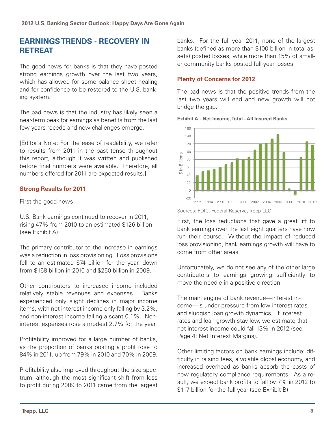# **Earnings Trends - Recovery in Retreat**

The good news for banks is that they have posted strong earnings growth over the last two years, which has allowed for some balance sheet healing and for confidence to be restored to the U.S. banking system.

The bad news is that the industry has likely seen a near-term peak for earnings as benefits from the last few years recede and new challenges emerge.

[Editor's Note: For the ease of readability, we refer to results from 2011 in the past tense throughout this report, although it was written and published before final numbers were available. Therefore, all numbers offered for 2011 are expected results.]

## **Strong Results for 2011**

First the good news:

U.S. Bank earnings continued to recover in 2011, rising 47% from 2010 to an estimated \$126 billion (see Exhibit A).

The primary contributor to the increase in earnings was a reduction in loss provisioning. Loss provisions fell to an estimated \$74 billion for the year, down from \$158 billion in 2010 and \$250 billion in 2009.

Other contributors to increased income included relatively stable revenues and expenses. Banks experienced only slight declines in major income items, with net interest income only falling by 3.2%, and non-interest income falling a scant 0.1%. Noninterest expenses rose a modest 2.7% for the year.

Profitability improved for a large number of banks, as the proportion of banks posting a profit rose to 84% in 2011, up from 79% in 2010 and 70% in 2009.

Profitability also improved throughout the size spectrum, although the most significant shift from loss to profit during 2009 to 2011 came from the largest banks. For the full year 2011, none of the largest banks (defined as more than \$100 billion in total assets) posted losses, while more than 15% of smaller community banks posted full-year losses.

## **Plenty of Concerns for 2012**

The bad news is that the positive trends from the last two years will end and new growth will not bridge the gap.

**Exhibit A - Net Income, Total - All Insured Banks**



Sources: FDIC, Federal Reserve, Trepp LLC

First, the loss reductions that gave a great lift to bank earnings over the last eight quarters have now run their course. Without the impact of reduced loss provisioning, bank earnings growth will have to come from other areas.

Unfortunately, we do not see any of the other large contributors to earnings growing sufficiently to move the needle in a positive direction.

The main engine of bank revenue—interest income—is under pressure from low interest rates and sluggish loan growth dynamics. If interest rates and loan growth stay low, we estimate that net interest income could fall 13% in 2012 (see Page 4: Net Interest Margins).

Other limiting factors on bank earnings include: difficulty in raising fees, a volatile global economy, and increased overhead as banks absorb the costs of new regulatory compliance requirements. As a result, we expect bank profits to fall by 7% in 2012 to \$117 billion for the full year (see Exhibit B).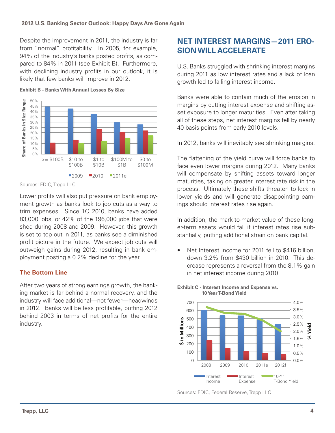Despite the improvement in 2011, the industry is far from "normal" profitability. In 2005, for example, 94% of the industry's banks posted profits, as compared to 84% in 2011 (see Exhibit B). Furthermore, with declining industry profits in our outlook, it is likely that few banks will improve in 2012.



**Exhibit B - Banks With Annual Losses By Size**

Lower profits will also put pressure on bank employment growth as banks look to job cuts as a way to trim expenses. Since 1Q 2010, banks have added 83,000 jobs, or 42% of the 196,000 jobs that were shed during 2008 and 2009. However, this growth is set to top out in 2011, as banks see a diminished profit picture in the future. We expect job cuts will outweigh gains during 2012, resulting in bank employment posting a 0.2% decline for the year.

## **The Bottom Line**

After two years of strong earnings growth, the banking market is far behind a normal recovery, and the industry will face additional—not fewer—headwinds in 2012. Banks will be less profitable, putting 2012 behind 2003 in terms of net profits for the entire industry.

# **Net Interest Margins—2011 Erosion Will Accelerate**

U.S. Banks struggled with shrinking interest margins during 2011 as low interest rates and a lack of loan growth led to falling interest income.

Banks were able to contain much of the erosion in margins by cutting interest expense and shifting asset exposure to longer maturities. Even after taking all of these steps, net interest margins fell by nearly 40 basis points from early 2010 levels.

In 2012, banks will inevitably see shrinking margins.

The flattening of the yield curve will force banks to face even lower margins during 2012. Many banks will compensate by shifting assets toward longer maturities, taking on greater interest rate risk in the process. Ultimately these shifts threaten to lock in lower yields and will generate disappointing earnings should interest rates rise again.

In addition, the mark-to-market value of these longer-term assets would fall if interest rates rise substantially, putting additional strain on bank capital.

• Net Interest Income for 2011 fell to \$416 billion, down 3.2% from \$430 billion in 2010. This decrease represents a reversal from the 8.1% gain in net interest income during 2010.



**Exhibit C - Interest Income and Expense vs. 10 Year T-Bond Yield**

Sources: FDIC, Trepp LLC

Sources: FDIC, Federal Reserve, Trepp LLC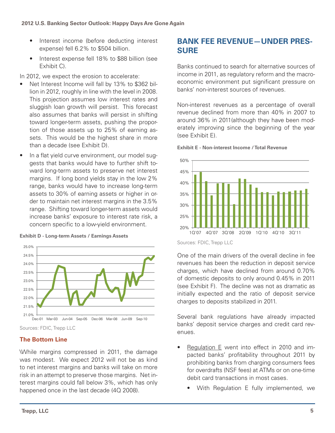- Interest income (before deducting interest expense) fell 6.2% to \$504 billion.
- Interest expense fell 18% to \$88 billion (see Exhibit C).

In 2012, we expect the erosion to accelerate:

- Net Interest Income will fall by 13% to \$362 billion in 2012, roughly in line with the level in 2008. This projection assumes low interest rates and sluggish loan growth will persist. This forecast also assumes that banks will persist in shifting toward longer-term assets, pushing the proportion of those assets up to 25% of earning assets. This would be the highest share in more than a decade (see Exhibit D).
- In a flat yield curve environment, our model suggests that banks would have to further shift toward long-term assets to preserve net interest margins. If long bond yields stay in the low 2% range, banks would have to increase long-term assets to 30% of earning assets or higher in order to maintain net interest margins in the 3.5% range. Shifting toward longer-term assets would increase banks' exposure to interest rate risk, a concern specific to a low-yield environment.



**Exhibit D - Long-term Assets / Earnings Assets**

Sources: FDIC, Trepp LLC

# **The Bottom Line**

\While margins compressed in 2011, the damage was modest. We expect 2012 will not be as kind to net interest margins and banks will take on more risk in an attempt to preserve those margins. Net interest margins could fall below 3%, which has only happened once in the last decade (4Q 2008).

# **Bank Fee Revenue—Under Pressure**

Banks continued to search for alternative sources of income in 2011, as regulatory reform and the macroeconomic environment put significant pressure on banks' non-interest sources of revenues.

Non-interest revenues as a percentage of overall revenue declined from more than 40% in 2007 to around 36% in 2011(although they have been moderately improving since the beginning of the year (see Exhibit E).



**Exhibit E - Non-interest Income / Total Revenue**

Sources: FDIC, Trepp LLC

One of the main drivers of the overall decline in fee revenues has been the reduction in deposit service charges, which have declined from around 0.70% of domestic deposits to only around 0.45% in 2011 (see Exhibit F). The decline was not as dramatic as initially expected and the ratio of deposit service charges to deposits stabilized in 2011.

Several bank regulations have already impacted banks' deposit service charges and credit card revenues.

- Regulation E went into effect in 2010 and impacted banks' profitability throughout 2011 by prohibiting banks from charging consumers fees for overdrafts (NSF fees) at ATMs or on one-time debit card transactions in most cases.
	- With Regulation E fully implemented, we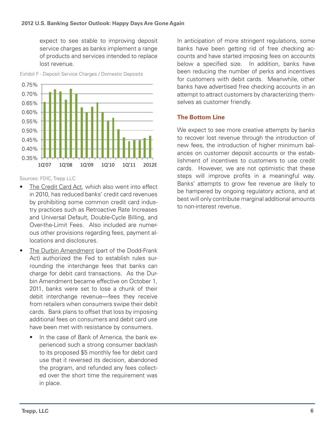expect to see stable to improving deposit service charges as banks implement a range of products and services intended to replace lost revenue.



Exhibit F - Deposit Service Charges / Domestic Deposits

Sources: FDIC, Trepp LLC

- The Credit Card Act, which also went into effect in 2010, has reduced banks' credit card revenues by prohibiting some common credit card industry practices such as Retroactive Rate Increases and Universal Default, Double-Cycle Billing, and Over-the-Limit Fees. Also included are numerous other provisions regarding fees, payment allocations and disclosures.
- The Durbin Amendment (part of the Dodd-Frank Act) authorized the Fed to establish rules surrounding the interchange fees that banks can charge for debit card transactions. As the Durbin Amendment became effective on October 1, 2011, banks were set to lose a chunk of their debit interchange revenue—fees they receive from retailers when consumers swipe their debit cards. Bank plans to offset that loss by imposing additional fees on consumers and debit card use have been met with resistance by consumers.
	- In the case of Bank of America, the bank experienced such a strong consumer backlash to its proposed \$5 monthly fee for debit card use that it reversed its decision, abandoned the program, and refunded any fees collected over the short time the requirement was in place.

In anticipation of more stringent regulations, some banks have been getting rid of free checking accounts and have started imposing fees on accounts below a specified size. In addition, banks have been reducing the number of perks and incentives for customers with debit cards. Meanwhile, other banks have advertised free checking accounts in an attempt to attract customers by characterizing themselves as customer friendly.

## **The Bottom Line**

We expect to see more creative attempts by banks to recover lost revenue through the introduction of new fees, the introduction of higher minimum balances on customer deposit accounts or the establishment of incentives to customers to use credit cards. However, we are not optimistic that these steps will improve profits in a meaningful way. Banks' attempts to grow fee revenue are likely to be hampered by ongoing regulatory actions, and at best will only contribute marginal additional amounts to non-interest revenue.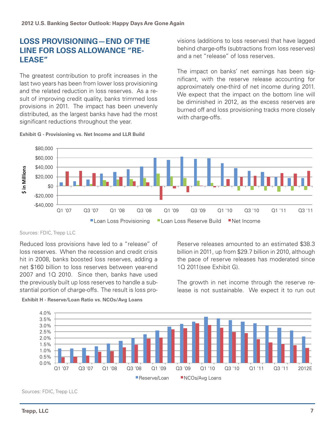# **Loss Provisioning—End of the Line for Loss Allowance "Release"**

The greatest contribution to profit increases in the last two years has been from lower loss provisioning and the related reduction in loss reserves. As a result of improving credit quality, banks trimmed loss provisions in 2011. The impact has been unevenly distributed, as the largest banks have had the most significant reductions throughout the year.

visions (additions to loss reserves) that have lagged behind charge-offs (subtractions from loss reserves) and a net "release" of loss reserves.

The impact on banks' net earnings has been significant, with the reserve release accounting for approximately one-third of net income during 2011. We expect that the impact on the bottom line will be diminished in 2012, as the excess reserves are burned off and loss provisioning tracks more closely with charge-offs.



#### **Exhibit G - Provisioning vs. Net Income and LLR Build**

#### Sources: FDIC, Trepp LLC

Reduced loss provisions have led to a "release" of loss reserves. When the recession and credit crisis hit in 2008, banks boosted loss reserves, adding a net \$160 billion to loss reserves between year-end 2007 and 1Q 2010. Since then, banks have used the previously built up loss reserves to handle a substantial portion of charge-offs. The result is loss pro-

Reserve releases amounted to an estimated \$38.3 billion in 2011, up from \$29.7 billion in 2010, although the pace of reserve releases has moderated since 1Q 2011(see Exhibit G).

The growth in net income through the reserve release is not sustainable. We expect it to run out



**Exhibit H - Reserve/Loan Ratio vs. NCOs/Avg Loans**

Sources: FDIC, Trepp LLC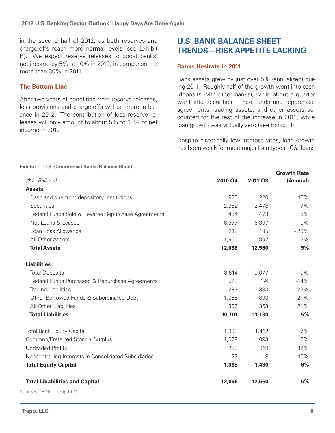in the second half of 2012, as both reserves and charge-offs reach more normal levels (see Exhibit H). We expect reserve releases to boost banks' net income by 5% to 10% in 2012, in comparison to more than 30% in 2011.

## **The Bottom Line**

After two years of benefiting from reserve releases, loss provisions and charge-offs will be more in balance in 2012. The contribution of loss reserve releases will only amount to about 5% to 10% of net income in 2012.

# **U.S. Bank Balance Sheet Trends—Risk Appetite Lacking**

## **Banks Hesitate in 2011**

Bank assets grew by just over 5% (annualized) during 2011. Roughly half of the growth went into cash (deposits with other banks), while about a quarter went into securities. Fed funds and repurchase agreements, trading assets, and other assets accounted for the rest of the increase in 2011, while loan growth was virtually zero (see Exhibit I).

Despite historically low interest rates, loan growth has been weak for most major loan types. C&I loans

|                                                       |         |         | <b>Growth Rate</b> |
|-------------------------------------------------------|---------|---------|--------------------|
| (\$ in Billions)                                      | 2010 Q4 | 2011 Q3 | (Annual)           |
| <b>Assets</b>                                         |         |         |                    |
| Cash and due from depository Institutions             | 923     | 1,220   | 45%                |
| Securities                                            | 2,352   | 2,478   | 7%                 |
| Federal Funds Sold & Reverse Repurchase Agreements    | 454     | 473     | 5%                 |
| Net Loans & Leases                                    | 6,377   | 6,397   | 0%                 |
| Loan Loss Allowance                                   | 218     | 185     | $-20%$             |
| All Other Assets                                      | 1,960   | 1,992   | 2%                 |
| <b>Total Assets</b>                                   | 12,066  | 12,560  | 5%                 |
| <b>Liabilities</b>                                    |         |         |                    |
| <b>Total Deposits</b>                                 | 8,514   | 9,077   | 9%                 |
| Federal Funds Purchased & Repurchase Agreements       | 528     | 474     | $-14%$             |
| <b>Trading Liabilities</b>                            | 287     | 333     | 22%                |
| Other Borrowed Funds & Subordinated Debt              | 1,065   | 893     | $-21%$             |
| All Other Liabilities                                 | 306     | 353     | 21%                |
| <b>Total Liabilities</b>                              | 10,701  | 11,130  | 5%                 |
| <b>Total Bank Equity Capital</b>                      | 1,338   | 1,412   | 7%                 |
| Common/Preferred Stock + Surplus                      | 1,079   | 1,093   | 2%                 |
| <b>Undivided Profits</b>                              | 259     | 319     | 32%                |
| Noncontrolling Interests in Consolidated Subsidiaries | 27      | 18      | $-40%$             |
| <b>Total Equity Capital</b>                           | 1,365   | 1,430   | 6%                 |
| <b>Total Libabilities and Capital</b>                 | 12,066  | 12,560  | 5%                 |

**Exhibit I - U.S. Commerical Banks Balance Sheet**

Sources - FDIC, Trepp LLC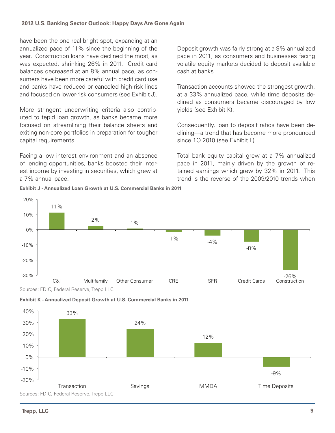#### **2012 U.S. Banking Sector Outlook: Happy Days Are Gone Again**

have been the one real bright spot, expanding at an annualized pace of 11% since the beginning of the year. Construction loans have declined the most, as was expected, shrinking 26% in 2011. Credit card balances decreased at an 8% annual pace, as consumers have been more careful with credit card use and banks have reduced or canceled high-risk lines and focused on lower-risk consumers (see Exhibit J).

More stringent underwriting criteria also contributed to tepid loan growth, as banks became more focused on streamlining their balance sheets and exiting non-core portfolios in preparation for tougher capital requirements.

Facing a low interest environment and an absence of lending opportunities, banks boosted their interest income by investing in securities, which grew at a 7% annual pace.

**Exhibit J - Annualized Loan Growth at U.S. Commercial Banks in 2011**

Deposit growth was fairly strong at a 9% annualized pace in 2011, as consumers and businesses facing volatile equity markets decided to deposit available cash at banks.

Transaction accounts showed the strongest growth, at a 33% annualized pace, while time deposits declined as consumers became discouraged by low yields (see Exhibit K).

Consequently, loan to deposit ratios have been declining—a trend that has become more pronounced since 1Q 2010 (see Exhibit L).

Total bank equity capital grew at a 7% annualized pace in 2011, mainly driven by the growth of retained earnings which grew by 32% in 2011. This trend is the reverse of the 2009/2010 trends when



Sources: FDIC, Federal Reserve, Trepp LLC -9% -20%  $-10%$ 0% Transaction Savings MMDA Time Deposits

20%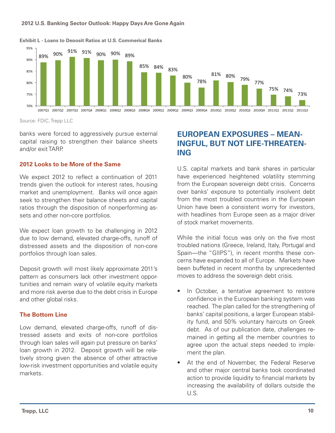#### **2012 U.S. Banking Sector Outlook: Happy Days Are Gone Again**



#### **Exhibit L - Loans to Deposit Ratios at U.S. Commerical Banks**

Source: FDIC, Trepp LLC

banks were forced to aggressively pursue external capital raising to strengthen their balance sheets and/or exit TARP.

#### **2012 Looks to be More of the Same**

We expect 2012 to reflect a continuation of 2011 trends given the outlook for interest rates, housing market and unemployment. Banks will once again seek to strengthen their balance sheets and capital ratios through the disposition of nonperforming assets and other non-core portfolios.

We expect loan growth to be challenging in 2012 due to low demand, elevated charge-offs, runoff of distressed assets and the disposition of non-core portfolios through loan sales.

Deposit growth will most likely approximate 2011's pattern as consumers lack other investment opportunities and remain wary of volatile equity markets and more risk averse due to the debt crisis in Europe and other global risks.

#### **The Bottom Line**

Low demand, elevated charge-offs, runoff of distressed assets and exits of non-core portfolios through loan sales will again put pressure on banks' loan growth in 2012. Deposit growth will be relatively strong given the absence of other attractive low-risk investment opportunities and volatile equity markets.

# **European ExposureS – Meaningful, But Not Life-Threatening**

U.S. capital markets and bank shares in particular have experienced heightened volatility stemming from the European sovereign debt crisis. Concerns over banks' exposure to potentially insolvent debt from the most troubled countries in the European Union have been a consistent worry for investors, with headlines from Europe seen as a major driver of stock market movements.

While the initial focus was only on the five most troubled nations (Greece, Ireland, Italy, Portugal and Spain—the "GIIPS"), in recent months these concerns have expanded to all of Europe. Markets have been buffeted in recent months by unprecedented moves to address the sovereign debt crisis.

- In October, a tentative agreement to restore confidence in the European banking system was reached. The plan called for the strengthening of banks' capital positions, a larger European stability fund, and 50% voluntary haircuts on Greek debt. As of our publication date, challenges remained in getting all the member countries to agree upon the actual steps needed to implement the plan.
- At the end of November, the Federal Reserve and other major central banks took coordinated action to provide liquidity to financial markets by increasing the availability of dollars outside the U.S.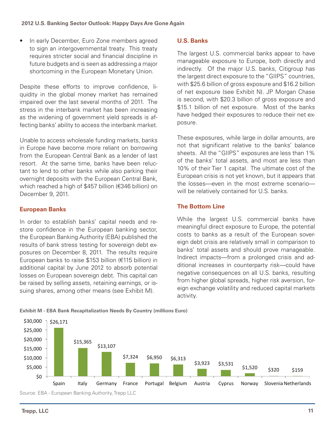• In early December, Euro Zone members agreed to sign an intergovernmental treaty. This treaty requires stricter social and financial discipline in future budgets and is seen as addressing a major shortcoming in the European Monetary Union.

Despite these efforts to improve confidence, liquidity in the global money market has remained impaired over the last several months of 2011. The stress in the interbank market has been increasing as the widening of government yield spreads is affecting banks' ability to access the interbank market.

Unable to access wholesale funding markets, banks in Europe have become more reliant on borrowing from the European Central Bank as a lender of last resort. At the same time, banks have been reluctant to lend to other banks while also parking their overnight deposits with the European Central Bank, which reached a high of \$457 billion (€346 billion) on December 9, 2011.

## **European Banks**

In order to establish banks' capital needs and restore confidence in the European banking sector, the European Banking Authority (EBA) published the results of bank stress testing for sovereign debt exposures on December 8, 2011. The results require European banks to raise \$153 billion (€115 billion) in additional capital by June 2012 to absorb potential losses on European sovereign debt. This capital can be raised by selling assets, retaining earnings, or issuing shares, among other means (see Exhibit M).

## **U.S. Banks**

The largest U.S. commercial banks appear to have manageable exposure to Europe, both directly and indirectly. Of the major U.S. banks, Citigroup has the largest direct exposure to the "GIIPS" countries, with \$25.6 billion of gross exposure and \$16.2 billion of net exposure (see Exhibit N). JP Morgan Chase is second, with \$20.3 billion of gross exposure and \$15.1 billion of net exposure. Most of the banks have hedged their exposures to reduce their net exposure.

These exposures, while large in dollar amounts, are not that significant relative to the banks' balance sheets. All the "GIIPS" exposures are less than 1% of the banks' total assets, and most are less than 10% of their Tier 1 capital. The ultimate cost of the European crisis is not yet known, but it appears that the losses—even in the most extreme scenario will be relatively contained for U.S. banks.

## **The Bottom Line**

While the largest U.S. commercial banks have meaningful direct exposure to Europe, the potential costs to banks as a result of the European sovereign debt crisis are relatively small in comparison to banks' total assets and should prove manageable. Indirect impacts—from a prolonged crisis and additional increases in counterparty risk—could have negative consequences on all U.S. banks, resulting from higher global spreads, higher risk aversion, foreign exchange volatility and reduced capital markets activity.



**Exhibit M - EBA Bank Recapitalization Needs By Country (millions Euro)**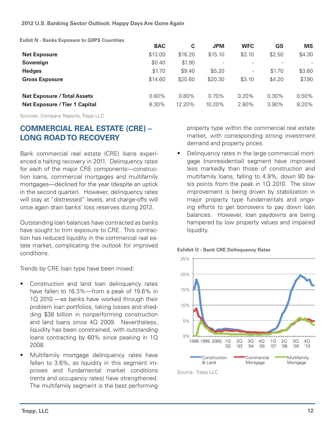**Exibit N - Banks Exposure to GIIPS Countries**

|                                      | <b>BAC</b> | C        | <b>JPM</b>               | <b>WFC</b>               | GS       | <b>MS</b> |
|--------------------------------------|------------|----------|--------------------------|--------------------------|----------|-----------|
| <b>Net Exposure</b>                  | \$13.00    | \$16.20  | \$15.10                  | \$3.10                   | \$2.50   | \$4.30    |
| Sovereign                            | \$0.40     | \$1.90   | $\overline{\phantom{a}}$ | $\overline{\phantom{0}}$ |          |           |
| <b>Hedges</b>                        | \$1.70     | \$9.40   | \$5.20                   | $\overline{\phantom{a}}$ | \$1.70   | \$3.60    |
| <b>Gross Exposure</b>                | \$14.60    | \$25.60  | \$20.30                  | \$3.10                   | \$4.20   | \$7.90    |
| <b>Net Exposure / Total Assets</b>   | 0.60%      | $0.80\%$ | $0.70\%$                 | $0.20\%$                 | $0.30\%$ | $0.50\%$  |
| <b>Net Exposure / Tier 1 Capital</b> | 8.30%      | 12.20%   | 10.20%                   | 2.80%                    | $3.90\%$ | 8.20%     |

Sources: Company Reports, Trepp LLC

# **Commercial Real Estate (CRE) – Long Roadto Recovery**

Bank commercial real estate (CRE) loans experienced a halting recovery in 2011. Delinquency rates for each of the major CRE components—construction loans, commercial mortgages and multifamily mortgages—declined for the year (despite an uptick in the second quarter). However, delinquency rates will stay at "distressed" levels, and charge-offs will once again drain banks' loss reserves during 2012.

Outstanding loan balances have contracted as banks have sought to trim exposure to CRE. This contraction has reduced liquidity in the commercial real estate market, complicating the outlook for improved conditions.

Trends by CRE loan type have been mixed:

- Construction and land loan delinguency rates have fallen to 16.3%—from a peak of 19.6% in 1Q 2010 —as banks have worked through their problem loan portfolios, taking losses and shedding \$38 billion in nonperforming construction and land loans since 4Q 2009. Nevertheless, liquidity has been constrained, with outstanding loans contracting by 60% since peaking in 1Q 2008.
- Multifamily mortgage delinguency rates have fallen to 3.6%, as liquidity in this segment improves and fundamental market conditions (rents and occupancy rates) have strengthened. The multifamily segment is the best performing

property type within the commercial real estate market, with corresponding strong investment demand and property prices.

Delinquency rates in the large commercial mortgage (nonresidential) segment have improved less markedly than those of construction and multifamily loans, falling to 4.9%, down 80 basis points from the peak in 1Q 2010. The slow improvement is being driven by stabilization in major property type fundamentals and ongoing efforts to get borrowers to pay down loan balances. However, loan paydowns are being hampered by low property values and impaired liquidity.





Source: Trepp LLC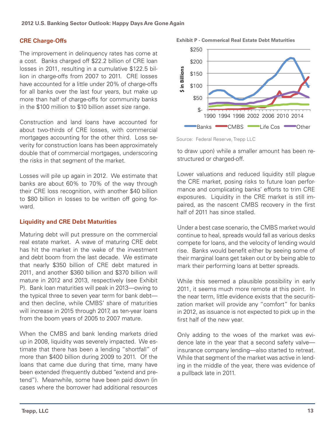# **CRE Charge-Offs**

The improvement in delinquency rates has come at a cost. Banks charged off \$22.2 billion of CRE loan losses in 2011, resulting in a cumulative \$122.5 billion in charge-offs from 2007 to 2011. CRE losses have accounted for a little under 20% of charge-offs for all banks over the last four years, but make up more than half of charge-offs for community banks in the \$100 million to \$10 billion asset size range.

Construction and land loans have accounted for about two-thirds of CRE losses, with commercial mortgages accounting for the other third. Loss severity for construction loans has been approximately double that of commercial mortgages, underscoring the risks in that segment of the market.

Losses will pile up again in 2012. We estimate that banks are about 60% to 70% of the way through their CRE loss recognition, with another \$40 billion to \$80 billion in losses to be written off going forward.

# **Liquidity and CRE Debt Maturities**

Maturing debt will put pressure on the commercial real estate market. A wave of maturing CRE debt has hit the market in the wake of the investment and debt boom from the last decade. We estimate that nearly \$350 billion of CRE debt matured in 2011, and another \$360 billion and \$370 billion will mature in 2012 and 2013, respectively (see Exhibit P). Bank loan maturities will peak in 2013—owing to the typical three to seven year term for bank debt and then decline, while CMBS' share of maturities will increase in 2015 through 2017, as ten-year loans from the boom years of 2005 to 2007 mature.

When the CMBS and bank lending markets dried up in 2008, liquidity was severely impacted. We estimate that there has been a lending "shortfall" of more than \$400 billion during 2009 to 2011. Of the loans that came due during that time, many have been extended (frequently dubbed "extend and pretend"). Meanwhile, some have been paid down (in cases where the borrower had additional resources

**Exhibit P - Commerical Real Estate Debt Maturities**



Source: Federal Reserve, Trepp LLC

to draw upon) while a smaller amount has been restructured or charged-off.

Lower valuations and reduced liquidity still plague the CRE market, posing risks to future loan performance and complicating banks' efforts to trim CRE exposures. Liquidity in the CRE market is still impaired, as the nascent CMBS recovery in the first half of 2011 has since stalled.

Under a best case scenario, the CMBS market would continue to heal, spreads would fall as various desks compete for loans, and the velocity of lending would rise. Banks would benefit either by seeing some of their marginal loans get taken out or by being able to mark their performing loans at better spreads.

While this seemed a plausible possibility in early 2011, it seems much more remote at this point. In the near term, little evidence exists that the securitization market will provide any "comfort" for banks in 2012, as issuance is not expected to pick up in the first half of the new year.

Only adding to the woes of the market was evidence late in the year that a second safety valve insurance company lending—also started to retreat. While that segment of the market was active in lending in the middle of the year, there was evidence of a pullback late in 2011.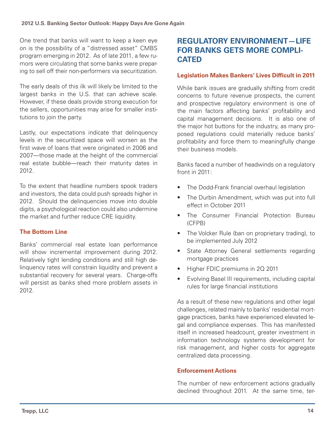One trend that banks will want to keep a keen eye on is the possibility of a "distressed asset" CMBS program emerging in 2012. As of late 2011, a few rumors were circulating that some banks were preparing to sell off their non-performers via securitization.

The early deals of this ilk will likely be limited to the largest banks in the U.S. that can achieve scale. However, if these deals provide strong execution for the sellers, opportunities may arise for smaller institutions to join the party.

Lastly, our expectations indicate that delinquency levels in the securitized space will worsen as the first wave of loans that were originated in 2006 and 2007—those made at the height of the commercial real estate bubble—reach their maturity dates in 2012.

To the extent that headline numbers spook traders and investors, the data could push spreads higher in 2012. Should the delinquencies move into double digits, a psychological reaction could also undermine the market and further reduce CRE liquidity.

# **The Bottom Line**

Banks' commercial real estate loan performance will show incremental improvement during 2012. Relatively tight lending conditions and still high delinquency rates will constrain liquidity and prevent a substantial recovery for several years. Charge-offs will persist as banks shed more problem assets in 2012.

# **Regulatory Environment—Life for Banks Gets More Complicated**

## **Legislation Makes Bankers' Lives Difficult in 2011**

While bank issues are gradually shifting from credit concerns to future revenue prospects, the current and prospective regulatory environment is one of the main factors affecting banks' profitability and capital management decisions. It is also one of the major hot buttons for the industry, as many proposed regulations could materially reduce banks' profitability and force them to meaningfully change their business models.

Banks faced a number of headwinds on a regulatory front in 2011:

- The Dodd-Frank financial overhaul legislation
- The Durbin Amendment, which was put into full effect in October 2011
- The Consumer Financial Protection Bureau (CFPB)
- The Volcker Rule (ban on proprietary trading), to be implemented July 2012
- State Attorney General settlements regarding mortgage practices
- Higher FDIC premiums in 2Q 2011
- Evolving Basel III requirements, including capital rules for large financial institutions

As a result of these new regulations and other legal challenges, related mainly to banks' residential mortgage practices, banks have experienced elevated legal and compliance expenses. This has manifested itself in increased headcount, greater investment in information technology systems development for risk management, and higher costs for aggregate centralized data processing.

## **Enforcement Actions**

The number of new enforcement actions gradually declined throughout 2011. At the same time, ter-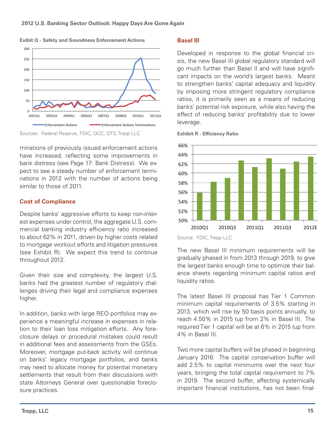

**Exibit Q - Safety and Soundness Enforcement Actions**



minations of previously issued enforcement actions have increased, reflecting some improvements in bank distress (see Page 17: Bank Distress). We expect to see a steady number of enforcement terminations in 2012 with the number of actions being similar to those of 2011.

# **Cost of Compliance**

Despite banks' aggressive efforts to keep non-interest expenses under control, the aggregate U.S. commercial banking industry efficiency ratio increased to about 62% in 2011, driven by higher costs related to mortgage workout efforts and litigation pressures (see Exhibit R). We expect this trend to continue throughout 2012.

Given their size and complexity, the largest U.S. banks had the greatest number of regulatory challenges driving their legal and compliance expenses higher.

In addition, banks with large REO portfolios may experience a meaningful increase in expenses in relation to their loan loss mitigation efforts. Any foreclosure delays or procedural mistakes could result in additional fees and assessments from the GSEs. Moreover, mortgage put-back activity will continue on banks' legacy mortgage portfolios, and banks may need to allocate money for potential monetary settlements that result from their discussions with state Attorneys General over questionable foreclosure practices.

## **Basel III**

Developed in response to the global financial crisis, the new Basel III global regulatory standard will go much further than Basel II and will have significant impacts on the world's largest banks. Meant to strengthen banks' capital adequacy and liquidity by imposing more stringent regulatory compliance ratios, it is primarily seen as a means of reducing banks' potential risk exposure, while also having the effect of reducing banks' profitability due to lower leverage.



**Exhibit R - Efficiency Ratio**

Source: FDIC, Trepp LLC

The new Basel III minimum requirements will be gradually phased in from 2013 through 2019, to give the largest banks enough time to optimize their balance sheets regarding minimum capital ratios and liquidity ratios.

The latest Basel III proposal has Tier 1 Common minimum capital requirements of 3.5% starting in 2013, which will rise by 50 basis points annually, to reach 4.50% in 2015 (up from 2% in Basel II). The required Tier 1 capital will be at 6% in 2015 (up from 4% in Basel II).

Two more capital buffers will be phased in beginning January 2016. The capital conservation buffer will add 2.5% to capital minimums over the next four years, bringing the total capital requirement to 7% in 2019. The second buffer, affecting systemically important financial institutions, has not been final-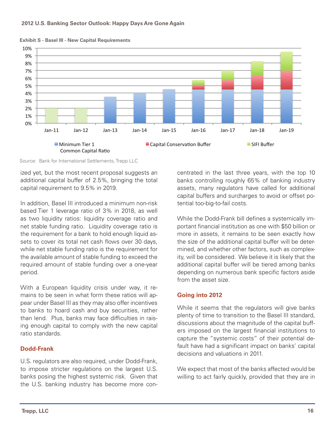

**Exhibit S - Basel III - New Capital Requirements**

Source: Bank for International Settlements, Trepp LLC

ized yet, but the most recent proposal suggests an additional capital buffer of 2.5%, bringing the total capital requirement to 9.5% in 2019.

In addition, Basel III introduced a minimum non-risk based Tier 1 leverage ratio of 3% in 2018, as well as two liquidity ratios: liquidity coverage ratio and net stable funding ratio. Liquidity coverage ratio is the requirement for a bank to hold enough liquid assets to cover its total net cash flows over 30 days, while net stable funding ratio is the requirement for the available amount of stable funding to exceed the required amount of stable funding over a one-year period.

With a European liquidity crisis under way, it remains to be seen in what form these ratios will appear under Basel III as they may also offer incentives to banks to hoard cash and buy securities, rather than lend. Plus, banks may face difficulties in raising enough capital to comply with the new capital ratio standards.

## **Dodd-Frank**

U.S. regulators are also required, under Dodd-Frank, to impose stricter regulations on the largest U.S. banks posing the highest systemic risk. Given that the U.S. banking industry has become more concentrated in the last three years, with the top 10 banks controlling roughly 65% of banking industry assets, many regulators have called for additional capital buffers and surcharges to avoid or offset potential too-big-to-fail costs.

While the Dodd-Frank bill defines a systemically important financial institution as one with \$50 billion or more in assets, it remains to be seen exactly how the size of the additional capital buffer will be determined, and whether other factors, such as complexity, will be considered. We believe it is likely that the additional capital buffer will be tiered among banks depending on numerous bank specific factors aside from the asset size.

## **Going into 2012**

While it seems that the regulators will give banks plenty of time to transition to the Basel III standard, discussions about the magnitude of the capital buffers imposed on the largest financial institutions to capture the "systemic costs" of their potential default have had a significant impact on banks' capital decisions and valuations in 2011.

We expect that most of the banks affected would be willing to act fairly quickly, provided that they are in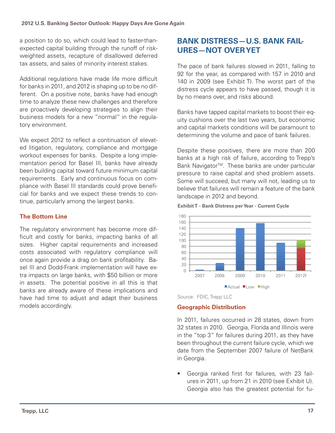a position to do so, which could lead to faster-thanexpected capital building through the runoff of riskweighted assets, recapture of disallowed deferred tax assets, and sales of minority interest stakes.

Additional regulations have made life more difficult for banks in 2011, and 2012 is shaping up to be no different. On a positive note, banks have had enough time to analyze these new challenges and therefore are proactively developing strategies to align their business models for a new "normal" in the regulatory environment.

We expect 2012 to reflect a continuation of elevated litigation, regulatory, compliance and mortgage workout expenses for banks. Despite a long implementation period for Basel III, banks have already been building capital toward future minimum capital requirements. Early and continuous focus on compliance with Basel III standards could prove beneficial for banks and we expect these trends to continue, particularly among the largest banks.

# **The Bottom Line**

The regulatory environment has become more difficult and costly for banks, impacting banks of all sizes. Higher capital requirements and increased costs associated with regulatory compliance will once again provide a drag on bank profitability. Basel III and Dodd-Frank implementation will have extra impacts on large banks, with \$50 billion or more in assets. The potential positive in all this is that banks are already aware of these implications and have had time to adjust and adapt their business models accordingly.

# **Bank Distress—U.S. Bank Failures—Not Over Yet**

The pace of bank failures slowed in 2011, falling to 92 for the year, as compared with 157 in 2010 and 140 in 2009 (see Exhibit T). The worst part of the distress cycle appears to have passed, though it is by no means over, and risks abound.

Banks have tapped capital markets to boost their equity cushions over the last two years, but economic and capital markets conditions will be paramount to determining the volume and pace of bank failures.

Despite these positives, there are more than 200 banks at a high risk of failure, according to Trepp's Bank Navigator<sup>™</sup>. These banks are under particular pressure to raise capital and shed problem assets. Some will succeed, but many will not, leading us to believe that failures will remain a feature of the bank landscape in 2012 and beyond.







## **Geographic Distribution**

In 2011, failures occurred in 28 states, down from 32 states in 2010. Georgia, Florida and Illinois were in the "top 3" for failures during 2011, as they have been throughout the current failure cycle, which we date from the September 2007 failure of NetBank in Georgia.

• Georgia ranked first for failures, with 23 failures in 2011, up from 21 in 2010 (see Exhibit U). Georgia also has the greatest potential for fu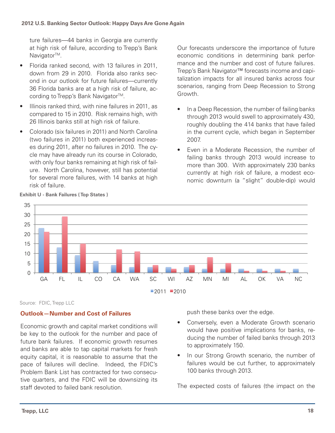ture failures—44 banks in Georgia are currently at high risk of failure, according to Trepp's Bank Navigator<sup>™</sup>.

- • Florida ranked second, with 13 failures in 2011, down from 29 in 2010. Florida also ranks second in our outlook for future failures—currently 36 Florida banks are at a high risk of failure, according to Trepp's Bank Navigator<sup>™</sup>.
- Illinois ranked third, with nine failures in 2011, as compared to 15 in 2010. Risk remains high, with 26 Illinois banks still at high risk of failure.
- Colorado (six failures in 2011) and North Carolina (two failures in 2011) both experienced increases during 2011, after no failures in 2010. The cycle may have already run its course in Colorado, with only four banks remaining at high risk of failure. North Carolina, however, still has potential for several more failures, with 14 banks at high risk of failure.

Our forecasts underscore the importance of future economic conditions in determining bank performance and the number and cost of future failures. Trepp's Bank Navigator™ forecasts income and capitalization impacts for all insured banks across four scenarios, ranging from Deep Recession to Strong Growth.

- In a Deep Recession, the number of failing banks through 2013 would swell to approximately 430, roughly doubling the 414 banks that have failed in the current cycle, which began in September 2007.
- Even in a Moderate Recession, the number of failing banks through 2013 would increase to more than 300. With approximately 230 banks currently at high risk of failure, a modest economic downturn (a "slight" double-dip) would



**Exhibit U - Bank Failures ( Top States )**

Source: FDIC, Trepp LLC

# **Outlook—Number and Cost of Failures**

Economic growth and capital market conditions will be key to the outlook for the number and pace of future bank failures. If economic growth resumes and banks are able to tap capital markets for fresh equity capital, it is reasonable to assume that the pace of failures will decline. Indeed, the FDIC's Problem Bank List has contracted for two consecutive quarters, and the FDIC will be downsizing its staff devoted to failed bank resolution.

push these banks over the edge.

- Conversely, even a Moderate Growth scenario would have positive implications for banks, reducing the number of failed banks through 2013 to approximately 150.
- In our Strong Growth scenario, the number of failures would be cut further, to approximately 100 banks through 2013.

The expected costs of failures (the impact on the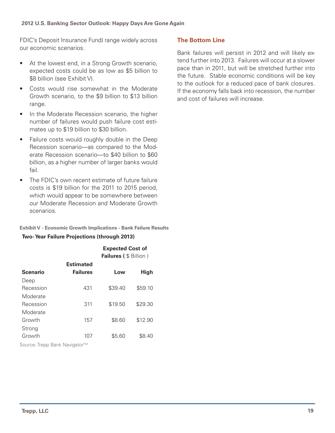#### **2012 U.S. Banking Sector Outlook: Happy Days Are Gone Again**

FDIC's Deposit Insurance Fund) range widely across our economic scenarios.

- At the lowest end, in a Strong Growth scenario, expected costs could be as low as \$5 billion to \$8 billion (see Exhibit V).
- Costs would rise somewhat in the Moderate Growth scenario, to the \$9 billion to \$13 billion range.
- In the Moderate Recession scenario, the higher number of failures would push failure cost estimates up to \$19 billion to \$30 billion.
- Failure costs would roughly double in the Deep Recession scenario—as compared to the Moderate Recession scenario—to \$40 billion to \$60 billion, as a higher number of larger banks would fail.
- The FDIC's own recent estimate of future failure costs is \$19 billion for the 2011 to 2015 period, which would appear to be somewhere between our Moderate Recession and Moderate Growth scenarios.

#### **Exhibit V - Economic Growth Implications - Bank Failure Results**

#### **Two- Year Failure Projections (through 2013)**

|                  |                                     | <b>Expected Cost of</b><br><b>Failures ( \$ Billion )</b> |             |  |
|------------------|-------------------------------------|-----------------------------------------------------------|-------------|--|
| <b>Scenario</b>  | <b>Estimated</b><br><b>Failures</b> | Low                                                       | <b>High</b> |  |
| Deep             |                                     |                                                           |             |  |
| Recession        | 431                                 | \$39.40                                                   | \$59.10     |  |
| Moderate         |                                     |                                                           |             |  |
| Recession        | 311                                 | \$19.50                                                   | \$29.30     |  |
| Moderate         |                                     |                                                           |             |  |
| Growth           | 157                                 | \$8.60                                                    | \$12.90     |  |
| Strong<br>Growth | 107                                 | \$5.60                                                    | \$8.40      |  |

Source: Trepp Bank Navigator™

## **The Bottom Line**

Bank failures will persist in 2012 and will likely extend further into 2013. Failures will occur at a slower pace than in 2011, but will be stretched further into the future. Stable economic conditions will be key to the outlook for a reduced pace of bank closures. If the economy falls back into recession, the number and cost of failures will increase.